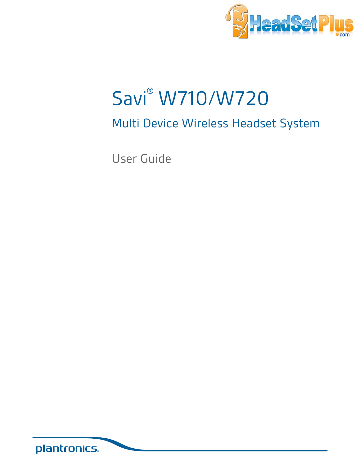

# Savi® W710/W720

## Multi Device Wireless Headset System

User Guide

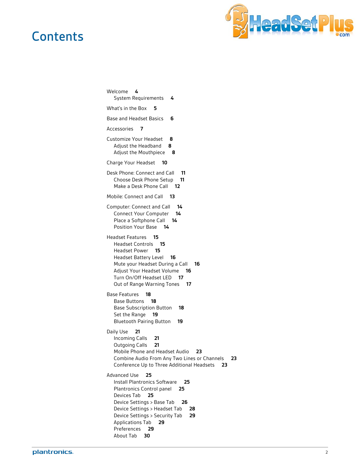### **Contents**



[Welcome](#page-3-0) **4** [System Requirements](#page-3-0) **4** [What's in the Box](#page-4-0) **5** [Base and Headset Basics](#page-5-0) **6** [Accessories](#page-6-0) **7** [Customize Your Headset](#page-7-0) **8** [Adjust the Headband](#page-7-0) **8** [Adjust the Mouthpiece](#page-7-0) **8** [Charge Your Headset](#page-9-0) **10** [Desk Phone: Connect and Call](#page-10-0) **11** [Choose Desk Phone Setup](#page-10-0) **11** [Make a Desk Phone Call](#page-11-0) **12** [Mobile: Connect and Call](#page-12-0) **13** [Computer: Connect and Call](#page-13-0) **14** [Connect Your Computer](#page-13-0) **14** [Place a Softphone Call](#page-13-0) **14** [Position Your Base](#page-13-0) **14** [Headset Features](#page-14-0) **15** [Headset Controls](#page-14-0) **15** [Headset Power](#page-14-0) **15** [Headset Battery Level](#page-15-0) **16** [Mute your Headset During a Call](#page-15-0) **16** [Adjust Your Headset Volume](#page-15-0) **16** [Turn On/Off Headset LED](#page-16-0) **17** [Out of Range Warning Tones](#page-16-0) **17** [Base Features](#page-17-0) **18** [Base Buttons](#page-17-0) **18** [Base Subscription Button](#page-17-0) **18** [Set the Range](#page-18-0) **19** [Bluetooth Pairing Button](#page-18-0) **19** [Daily Use](#page-20-0) **21** [Incoming Calls](#page-20-0) **21** [Outgoing Calls](#page-20-0) **21** [Mobile Phone and Headset Audio](#page-22-0) **23** [Combine Audio From Any Two Lines or Channels](#page-22-0) **23** [Conference Up to Three Additional Headsets](#page-22-0) **23** [Advanced Use](#page-24-0) **25** [Install Plantronics Software](#page-24-0) **25** [Plantronics Control panel](#page-24-0) **25** [Devices Tab](#page-24-0) **25** [Device Settings > Base Tab](#page-25-0) **26** [Device Settings > Headset Tab](#page-27-0) **28** [Device Settings > Security Tab](#page-28-0) **29** [Applications Tab](#page-28-0) **29** [Preferences](#page-28-0) **29** [About Tab](#page-29-0) **30**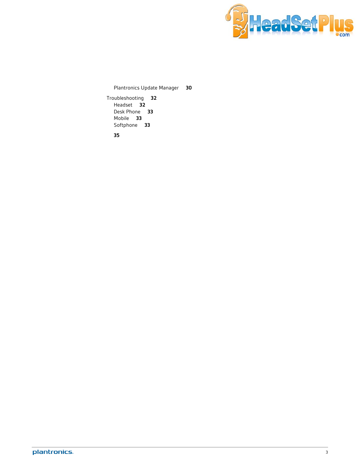

[Plantronics Update Manager](#page-29-0) **30**

[Troubleshooting](#page-31-0) **32** [Headset](#page-31-0) **32** [Desk Phone](#page-32-0) **33** [Mobile](#page-32-0) **33** [Softphone](#page-32-0) **33**

**[35](#page-34-0)**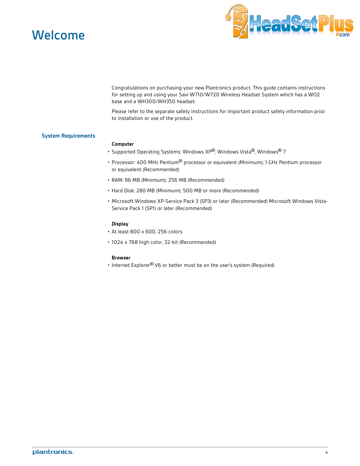<span id="page-3-0"></span>



Congratulations on purchasing your new Plantronics product. This guide contains instructions for setting up and using your Savi W710/W720 Wireless Headset System which has a WO2 base and a WH300/WH350 headset.

Please refer to the separate safety instructions for important product safety information prior to installation or use of the product.

#### **System Requirements**

#### **Computer**

- Supported Operating Systems: Windows XP®, Windows Vista®, Windows® 7
- Processor: 400 MHz Pentium® processor or equivalent (Minimum); 1 GHz Pentium processor or equivalent (Recommended)
- RAM: 96 MB (Minimum); 256 MB (Recommended)
- Hard Disk: 280 MB (Minimum); 500 MB or more (Recommended)
- Microsoft Windows XP-Service Pack 3 (SP3) or later (Recommended) Microsoft Windows Vista-Service Pack 1 (SP1) or later (Recommended)

#### **Display**

- At least 800 x 600, 256 colors
- 1024 x 768 high color, 32-bit (Recommended)

#### **Browser**

• Internet Explorer<sup>®</sup> V6 or better must be on the user's system (Required)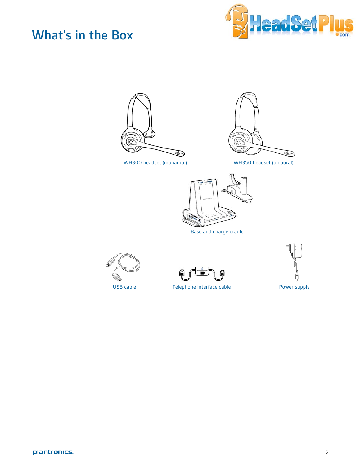## <span id="page-4-0"></span>What's in the Box







WH300 headset (monaural) WH350 headset (binaural)



Base and charge cradle







USB cable Telephone interface cable Tower supply

plantronics.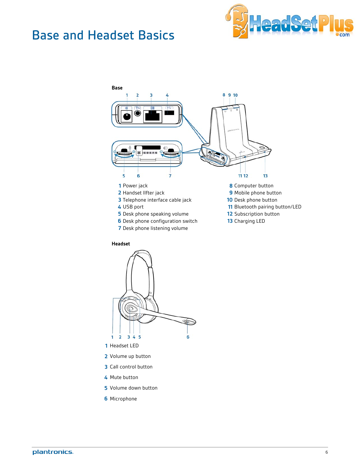### <span id="page-5-0"></span>Base and Headset Basics





#### **Headset**



- Headset LED
- Volume up button
- Call control button
- Mute button
- Volume down button
- Microphone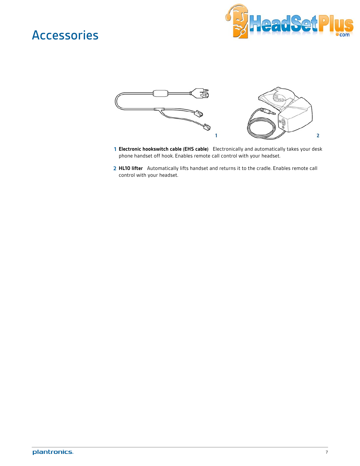### <span id="page-6-0"></span>Accessories





- **1 Electronic hookswitch cable (EHS cable)** Electronically and automatically takes your desk phone handset off hook. Enables remote call control with your headset.
- **2 HL10 lifter** Automatically lifts handset and returns it to the cradle. Enables remote call control with your headset.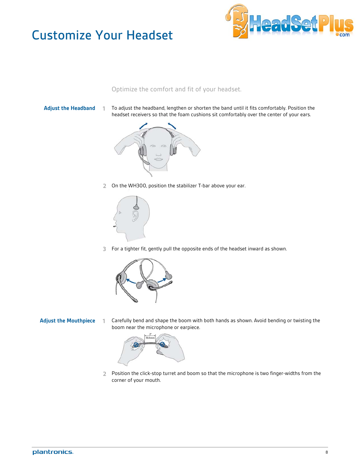## <span id="page-7-0"></span>Customize Your Headset



Optimize the comfort and fit of your headset.

- 
- **Adjust the Headband 1** To adjust the headband, lengthen or shorten the band until it fits comfortably. Position the headset receivers so that the foam cushions sit comfortably over the center of your ears.



**2** On the WH300, position the stabilizer T-bar above your ear.



**3** For a tighter fit, gently pull the opposite ends of the headset inward as shown.



**Adjust the Mouthpiece 1** Carefully bend and shape the boom with both hands as shown. Avoid bending or twisting the boom near the microphone or earpiece.



**2** Position the click-stop turret and boom so that the microphone is two finger-widths from the corner of your mouth.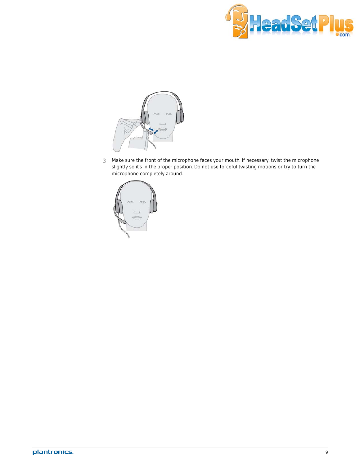



**3** Make sure the front of the microphone faces your mouth. If necessary, twist the microphone slightly so it's in the proper position. Do not use forceful twisting motions or try to turn the microphone completely around.

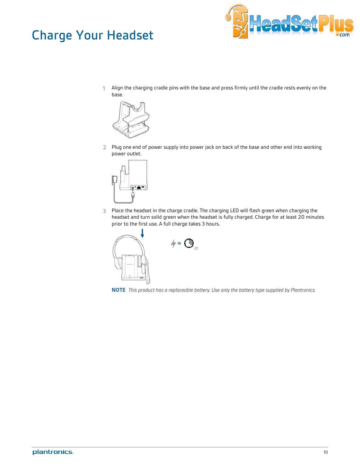## <span id="page-9-0"></span>Charge Your Headset



**1** Align the charging cradle pins with the base and press firmly until the cradle rests evenly on the base.



**2** Plug one end of power supply into power jack on back of the base and other end into working power outlet.



**3** Place the headset in the charge cradle. The charging LED will flash green when charging the headset and turn solid green when the headset is fully charged. Charge for at least 20 minutes prior to the first use. A full charge takes 3 hours.



**NOTE** *This product has a replaceable battery. Use only the battery type supplied by Plantronics.*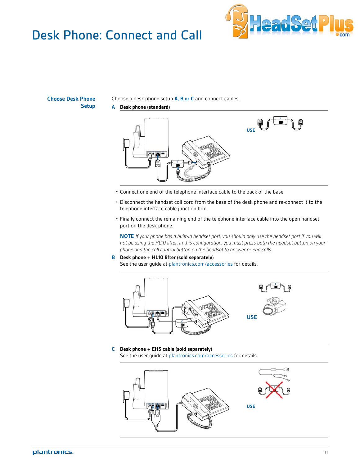## <span id="page-10-0"></span>Desk Phone: Connect and Call



**Choose Desk Phone Setup**

Choose a desk phone setup **A, B or C** and connect cables.

**A Desk phone (standard)**



- Connect one end of the telephone interface cable to the back of the base
- Disconnect the handset coil cord from the base of the desk phone and re-connect it to the telephone interface cable junction box.
- Finally connect the remaining end of the telephone interface cable into the open handset port on the desk phone.

**NOTE** *If your phone has a built-in headset port, you should only use the headset port if you will not be using the HL10 lifter. In this configuration, you must press both the headset button on your phone and the call control button on the headset to answer or end calls.*

**B Desk phone + HL10 lifter (sold separately)** See the user guide at plantronics.com/accessories for details.



**C Desk phone + EHS cable (sold separately)** See the user guide at plantronics.com/accessories for details.

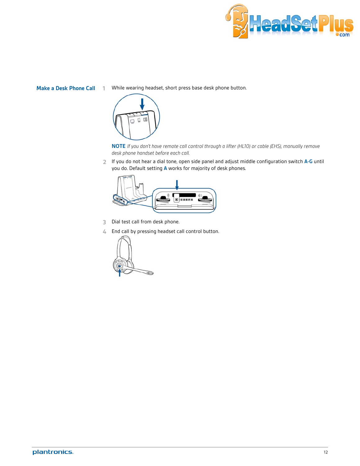

<span id="page-11-0"></span>**Make a Desk Phone Call 1** While wearing headset, short press base desk phone button.



**NOTE** *If you don't have remote call control through a lifter (HL10) or cable (EHS), manually remove desk phone handset before each call.*

**2** If you do not hear a dial tone, open side panel and adjust middle configuration switch **A-G** until you do. Default setting **A** works for majority of desk phones.



- **3** Dial test call from desk phone.
- **4** End call by pressing headset call control button.

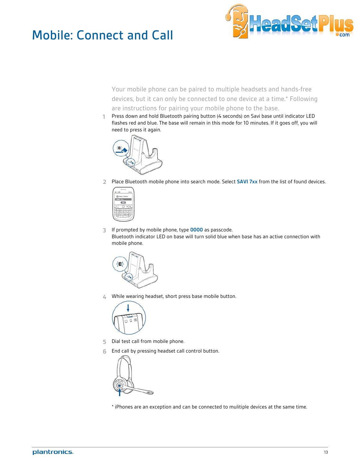## <span id="page-12-0"></span>Mobile: Connect and Call



Your mobile phone can be paired to multiple headsets and hands-free devices, but it can only be connected to one device at a time.\* Following are instructions for pairing your mobile phone to the base.

**1** Press down and hold Bluetooth pairing button (4 seconds) on Savi base until indicator LED flashes red and blue. The base will remain in this mode for 10 minutes. If it goes off, you will need to press it again.



**2** Place Bluetooth mobile phone into search mode. Select **SAVI 7xx** from the list of found devices.



**3** If prompted by mobile phone, type **0000** as passcode. Bluetooth indicator LED on base will turn solid blue when base has an active connection with mobile phone.



**4** While wearing headset, short press base mobile button.



- **5** Dial test call from mobile phone.
- **6** End call by pressing headset call control button.



\* iPhones are an exception and can be connected to mulitiple devices at the same time.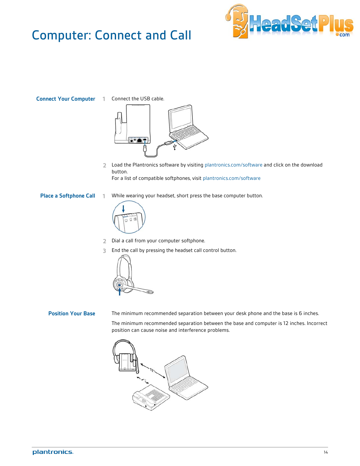## <span id="page-13-0"></span>Computer: Connect and Call



**Connect Your Computer 1** Connect the USB cable.



- **2** Load the Plantronics software by visiting plantronics.com/software and click on the download button. For a list of compatible softphones, visit plantronics.com/software
- **Place a Softphone Call 1** While wearing your headset, short press the base computer button.



**2** Dial a call from your computer softphone.

**3** End the call by pressing the headset call control button.



Position Your Base The minimum recommended separation between your desk phone and the base is 6 inches.

The minimum recommended separation between the base and computer is 12 inches. Incorrect position can cause noise and interference problems.

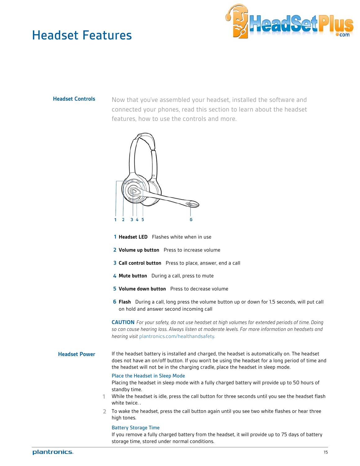### <span id="page-14-0"></span>Headset Features



**Headset Controls** Now that you've assembled your headset, installed the software and connected your phones, read this section to learn about the headset features, how to use the controls and more.



- **1 Headset LED** Flashes white when in use
- **2 Volume up button** Press to increase volume
- **3 Call control button** Press to place, answer, end a call
- **4 Mute button** During a call, press to mute
- **5** Volume down button Press to decrease volume
- **6 Flash** During a call, long press the volume button up or down for 1.5 seconds, will put call on hold and answer second incoming call

**CAUTION** *For your safety, do not use headset at high volumes for extended periods of time. Doing so can cause hearing loss. Always listen at moderate levels. For more information on headsets and hearing visit* plantronics.com/healthandsafety*.*

#### **Headset Power** If the headset battery is installed and charged, the headset is automatically on. The headset does not have an on/off button. If you won't be using the headset for a long period of time and the headset will not be in the charging cradle, place the headset in sleep mode.

#### Place the Headset in Sleep Mode

Placing the headset in sleep mode with a fully charged battery will provide up to 50 hours of standby time.

- **1** While the headset is idle, press the call button for three seconds until you see the headset flash white twice. .
- **2** To wake the headset, press the call button again until you see two white flashes or hear three high tones.

#### Battery Storage Time

If you remove a fully charged battery from the headset, it will provide up to 75 days of battery storage time, stored under normal conditions.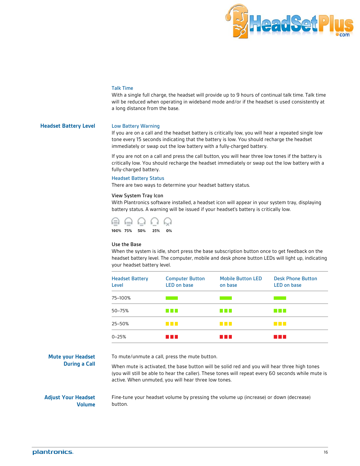

#### Talk Time

With a single full charge, the headset will provide up to 9 hours of continual talk time. Talk time will be reduced when operating in wideband mode and/or if the headset is used consistently at a long distance from the base.

#### <span id="page-15-0"></span>**Headset Battery Level** Low Battery Warning

If you are on a call and the headset battery is critically low, you will hear a repeated single low tone every 15 seconds indicating that the battery is low. You should recharge the headset immediately or swap out the low battery with a fully-charged battery.

If you are not on a call and press the call button, you will hear three low tones if the battery is critically low. You should recharge the headset immediately or swap out the low battery with a fully-charged battery.

#### Headset Battery Status

There are two ways to determine your headset battery status.

#### View System Tray Icon

With Plantronics software installed, a headset icon will appear in your system tray, displaying battery status. A warning will be issued if your headset's battery is critically low.



#### Use the Base

When the system is idle, short press the base subscription button once to get feedback on the headset battery level. The computer, mobile and desk phone button LEDs will light up, indicating your headset battery level.

| <b>Headset Battery</b><br>Level | <b>Computer Button</b><br><b>LED</b> on base | <b>Mobile Button LED</b><br>on base | <b>Desk Phone Button</b><br><b>LED on base</b> |
|---------------------------------|----------------------------------------------|-------------------------------------|------------------------------------------------|
| 75-100%                         |                                              |                                     |                                                |
| 50-75%                          | <b>Contract Contract</b>                     | <b>The Common</b>                   | a sa Ba                                        |
| 25–50%                          | <b>The Company</b>                           | <b>The Co</b>                       | a sa Ba                                        |
| $0 - 25%$                       | a sa sa                                      | u n r                               | a sa T                                         |

**Mute your Headset During a Call** To mute/unmute a call, press the mute button.

When mute is activated, the base button will be solid red and you will hear three high tones (you will still be able to hear the caller). These tones will repeat every 60 seconds while mute is active. When unmuted, you will hear three low tones.

#### **Adjust Your Headset Volume**

Fine-tune your headset volume by pressing the volume up (increase) or down (decrease) button.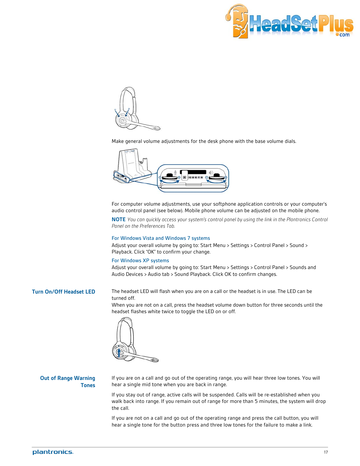

<span id="page-16-0"></span>

Make general volume adjustments for the desk phone with the base volume dials.



For computer volume adjustments, use your softphone application controls or your computer's audio control panel (see below). Mobile phone volume can be adjusted on the mobile phone.

**NOTE** *You can quickly access your system's control panel by using the link in the Plantronics Control Panel on the Preferences Tab.*

#### For Windows Vista and Windows 7 systems

Adjust your overall volume by going to: Start Menu > Settings > Control Panel > Sound > Playback. Click "OK" to confirm your change.

#### For Windows XP systems

Adjust your overall volume by going to: Start Menu > Settings > Control Panel > Sounds and Audio Devices > Audio tab > Sound Playback. Click OK to confirm changes.

**Turn On/Off Headset LED** The headset LED will flash when you are on a call or the headset is in use. The LED can be turned off.

> When you are not on a call, press the headset volume down button for three seconds until the headset flashes white twice to toggle the LED on or off.



#### **Out of Range Warning Tones**

If you are on a call and go out of the operating range, you will hear three low tones. You will hear a single mid tone when you are back in range.

If you stay out of range, active calls will be suspended. Calls will be re-established when you walk back into range. If you remain out of range for more than 5 minutes, the system will drop the call.

If you are not on a call and go out of the operating range and press the call button, you will hear a single tone for the button press and three low tones for the failure to make a link.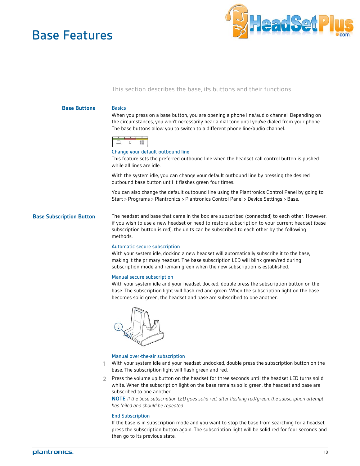### <span id="page-17-0"></span>Base Features



### This section describes the base, its buttons and their functions.

### **Base Buttons** Basics When you press on a base button, you are opening a phone line/audio channel. Depending on the circumstances, you won't necessarily hear a dial tone until you've dialed from your phone. The base buttons allow you to switch to a different phone line/audio channel. o 僵 □ Change your default outbound line This feature sets the preferred outbound line when the headset call control button is pushed while all lines are idle. With the system idle, you can change your default outbound line by pressing the desired outbound base button until it flashes green four times. You can also change the default outbound line using the Plantronics Control Panel by going to Start > Programs > Plantronics > Plantronics Control Panel > Device Settings > Base. **Base Subscription Button** The headset and base that came in the box are subscribed (connected) to each other. However, if you wish to use a new headset or need to restore subscription to your current headset (base subscription button is red), the units can be subscribed to each other by the following methods. Automatic secure subscription With your system idle, docking a new headset will automatically subscribe it to the base, making it the primary headset. The base subscription LED will blink green/red during subscription mode and remain green when the new subscription is established. Manual secure subscription With your system idle and your headset docked, double press the subscription button on the base. The subscription light will flash red and green. When the subscription light on the base becomes solid green, the headset and base are subscribed to one another.

#### Manual over-the-air subscription

- **1** With your system idle and your headset undocked, double press the subscription button on the base. The subscription light will flash green and red.
- **2** Press the volume up button on the headset for three seconds until the headset LED turns solid white. When the subscription light on the base remains solid green, the headset and base are subscribed to one another.

**NOTE** *If the base subscription LED goes solid red, after flashing red/green, the subscription attempt has failed and should be repeated.*

#### End Subscription

If the base is in subscription mode and you want to stop the base from searching for a headset, press the subscription button again. The subscription light will be solid red for four seconds and then go to its previous state.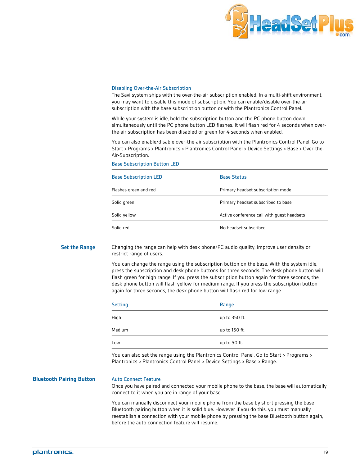

#### <span id="page-18-0"></span>Disabling Over-the-Air Subscription

The Savi system ships with the over-the-air subscription enabled. In a multi-shift environment, you may want to disable this mode of subscription. You can enable/disable over-the-air subscription with the base subscription button or with the Plantronics Control Panel.

While your system is idle, hold the subscription button and the PC phone button down simultaneously until the PC phone button LED flashes. It will flash red for 4 seconds when overthe-air subscription has been disabled or green for 4 seconds when enabled.

You can also enable/disable over-the-air subscription with the Plantronics Control Panel. Go to Start > Programs > Plantronics > Plantronics Control Panel > Device Settings > Base > Over-the-Air-Subscription.

Base Subscription Button LED

| <b>Base Subscription LED</b> | <b>Base Status</b>                         |
|------------------------------|--------------------------------------------|
| Flashes green and red        | Primary headset subscription mode          |
| Solid green                  | Primary headset subscribed to base         |
| Solid yellow                 | Active conference call with quest headsets |
| Solid red                    | No headset subscribed                      |

**Set the Range** Changing the range can help with desk phone/PC audio quality, improve user density or restrict range of users.

> You can change the range using the subscription button on the base. With the system idle, press the subscription and desk phone buttons for three seconds. The desk phone button will flash green for high range. If you press the subscription button again for three seconds, the desk phone button will flash yellow for medium range. If you press the subscription button again for three seconds, the desk phone button will flash red for low range.

| <b>Setting</b> | Range         |
|----------------|---------------|
| High           | up to 350 ft. |
| Medium         | up to 150 ft. |
| Low            | up to 50 ft.  |

You can also set the range using the Plantronics Control Panel. Go to Start > Programs > Plantronics > Plantronics Control Panel > Device Settings > Base > Range.

**Bluetooth Pairing Button Auto Connect Feature** 

Once you have paired and connected your mobile phone to the base, the base will automatically connect to it when you are in range of your base.

You can manually disconnect your mobile phone from the base by short pressing the base Bluetooth pairing button when it is solid blue. However if you do this, you must manually reestablish a connection with your mobile phone by pressing the base Bluetooth button again, before the auto connection feature will resume.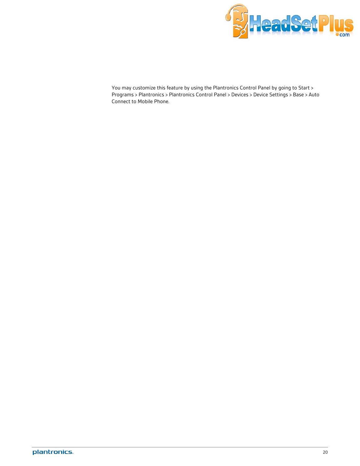

You may customize this feature by using the Plantronics Control Panel by going to Start > Programs > Plantronics > Plantronics Control Panel > Devices > Device Settings > Base > Auto Connect to Mobile Phone.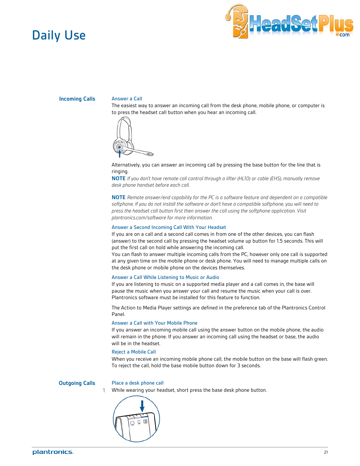### <span id="page-20-0"></span>Daily Use



**Incoming Calls** Answer a Call

The easiest way to answer an incoming call from the desk phone, mobile phone, or computer is to press the headset call button when you hear an incoming call.



#### Alternatively, you can answer an incoming call by pressing the base button for the line that is ringing.

**NOTE** *If you don't have remote call control through a lifter (HL10) or cable (EHS), manually remove desk phone handset before each call.*

**NOTE** *Remote answer/end capability for the PC is a software feature and dependent on a compatible softphone. If you do not install the software or don't have a compatible softphone, you will need to press the headset call button first then answer the call using the softphone application. Visit plantronics.com/software for more information.*

#### Answer a Second Incoming Call With Your Headset

If you are on a call and a second call comes in from one of the other devices, you can flash (answer) to the second call by pressing the headset volume up button for 1.5 seconds. This will put the first call on hold while answering the incoming call.

You can flash to answer multiple incoming calls from the PC, however only one call is supported at any given time on the mobile phone or desk phone. You will need to manage multiple calls on the desk phone or mobile phone on the devices themselves.

#### Answer a Call While Listening to Music or Audio

If you are listening to music on a supported media player and a call comes in, the base will pause the music when you answer your call and resume the music when your call is over. Plantronics software must be installed for this feature to function.

The Action to Media Player settings are defined in the preference tab of the Plantronics Control Panel.

#### Answer a Call with Your Mobile Phone

If you answer an incoming mobile call using the answer button on the mobile phone, the audio will remain in the phone. If you answer an incoming call using the headset or base, the audio will be in the headset.

#### Reject a Mobile Call

When you receive an incoming mobile phone call, the mobile button on the base will flash green. To reject the call, hold the base mobile button down for 3 seconds.

#### **Outgoing Calls** Place a desk phone call

**1** While wearing your headset, short press the base desk phone button.

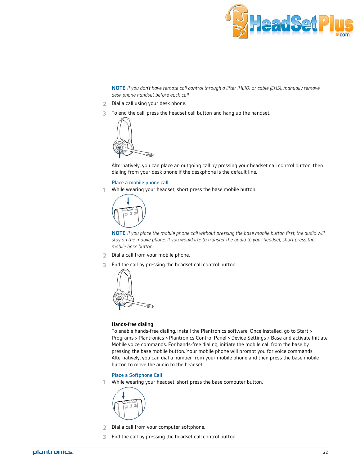

**NOTE** *If you don't have remote call control through a lifter (HL10) or cable (EHS), manually remove desk phone handset before each call.*

- **2** Dial a call using your desk phone.
- **3** To end the call, press the headset call button and hang up the handset.



Alternatively, you can place an outgoing call by pressing your headset call control button, then dialing from your desk phone if the deskphone is the default line.

#### Place a mobile phone call

**1** While wearing your headset, short press the base mobile button.



**NOTE** *If you place the mobile phone call without pressing the base mobile button first, the audio will stay on the mobile phone. If you would like to transfer the audio to your headset, short press the mobile base button.*

- **2** Dial a call from your mobile phone.
- **3** End the call by pressing the headset call control button.



#### Hands-free dialing

To enable hands-free dialing, install the Plantronics software. Once installed, go to Start > Programs > Plantronics > Plantronics Control Panel > Device Settings > Base and activate Initiate Mobile voice commands. For hands-free dialing, initiate the mobile call from the base by pressing the base mobile button. Your mobile phone will prompt you for voice commands. Alternatively, you can dial a number from your mobile phone and then press the base mobile button to move the audio to the headset.

#### Place a Softphone Call

**1** While wearing your headset, short press the base computer button.



- **2** Dial a call from your computer softphone.
- **3** End the call by pressing the headset call control button.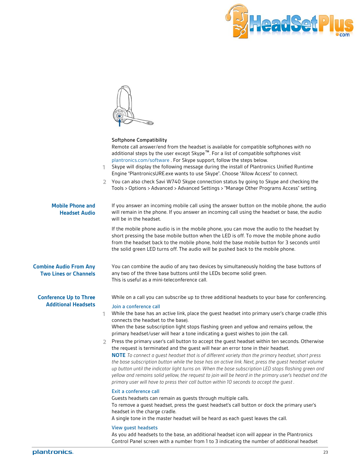

<span id="page-22-0"></span>

|                                                               | 1.             | Softphone Compatibility<br>Remote call answer/end from the headset is available for compatible softphones with no<br>additional steps by the user except Skype <sup>™</sup> . For a list of compatible softphones visit<br>plantronics.com/software . For Skype support, follow the steps below.<br>Skype will display the following message during the install of Plantronics Unified Runtime<br>Engine "PlantronicsURE.exe wants to use Skype". Choose "Allow Access" to connect.<br>2 You can also check Savi W740 Skype connection status by going to Skype and checking the<br>Tools > Options > Advanced > Advanced Settings > "Manage Other Programs Access" setting.                                              |
|---------------------------------------------------------------|----------------|---------------------------------------------------------------------------------------------------------------------------------------------------------------------------------------------------------------------------------------------------------------------------------------------------------------------------------------------------------------------------------------------------------------------------------------------------------------------------------------------------------------------------------------------------------------------------------------------------------------------------------------------------------------------------------------------------------------------------|
| <b>Mobile Phone and</b><br><b>Headset Audio</b>               |                | If you answer an incoming mobile call using the answer button on the mobile phone, the audio<br>will remain in the phone. If you answer an incoming call using the headset or base, the audio<br>will be in the headset.                                                                                                                                                                                                                                                                                                                                                                                                                                                                                                  |
|                                                               |                | If the mobile phone audio is in the mobile phone, you can move the audio to the headset by<br>short pressing the base mobile button when the LED is off. To move the mobile phone audio<br>from the headset back to the mobile phone, hold the base mobile button for 3 seconds until<br>the solid green LED turns off. The audio will be pushed back to the mobile phone.                                                                                                                                                                                                                                                                                                                                                |
| <b>Combine Audio From Any</b><br><b>Two Lines or Channels</b> |                | You can combine the audio of any two devices by simultaneously holding the base buttons of<br>any two of the three base buttons until the LEDs become solid green.<br>This is useful as a mini-teleconference call.                                                                                                                                                                                                                                                                                                                                                                                                                                                                                                       |
| <b>Conference Up to Three</b><br><b>Additional Headsets</b>   |                | While on a call you can subscribe up to three additional headsets to your base for conferencing.<br>Join a conference call                                                                                                                                                                                                                                                                                                                                                                                                                                                                                                                                                                                                |
|                                                               | 1.             | While the base has an active link, place the guest headset into primary user's charge cradle (this<br>connects the headset to the base).<br>When the base subscription light stops flashing green and yellow and remains yellow, the<br>primary headset/user will hear a tone indicating a quest wishes to join the call.                                                                                                                                                                                                                                                                                                                                                                                                 |
|                                                               | $\overline{2}$ | Press the primary user's call button to accept the guest headset within ten seconds. Otherwise<br>the request is terminated and the guest will hear an error tone in their headset.<br><b>NOTE</b> To connect a guest headset that is of different variety than the primary headset, short press<br>the base subscription button while the base has an active link. Next, press the guest headset volume<br>up button until the indicator light turns on. When the base subscription LED stops flashing green and<br>yellow and remains solid yellow, the request to join will be heard in the primary user's headset and the<br>primary user will have to press their call button within 10 seconds to accept the quest. |
|                                                               |                | Exit a conference call<br>Guests headsets can remain as quests through multiple calls.<br>To remove a guest headset, press the guest headset's call button or dock the primary user's<br>headset in the charge cradle.<br>A single tone in the master headset will be heard as each guest leaves the call.                                                                                                                                                                                                                                                                                                                                                                                                                |
|                                                               |                | <b>View guest headsets</b>                                                                                                                                                                                                                                                                                                                                                                                                                                                                                                                                                                                                                                                                                                |

As you add headsets to the base, an additional headset icon will appear in the Plantronics Control Panel screen with a number from 1 to 3 indicating the number of additional headset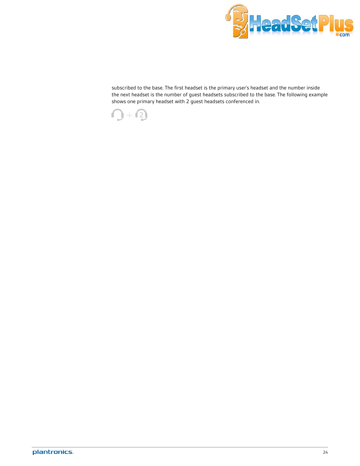

subscribed to the base. The first headset is the primary user's headset and the number inside the next headset is the number of guest headsets subscribed to the base. The following example shows one primary headset with 2 guest headsets conferenced in.

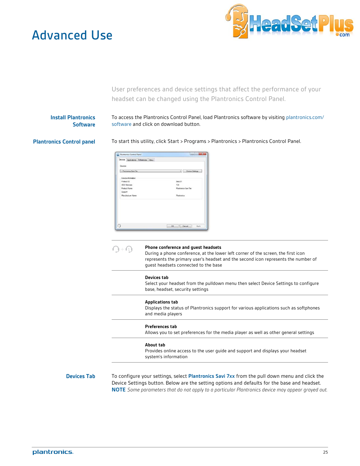### <span id="page-24-0"></span>Advanced Use



User preferences and device settings that affect the performance of your headset can be changed using the Plantronics Control Panel.

### **Install Plantronics Software**

To access the Plantronics Control Panel, load Plantronics software by visiting plantronics.com/ software and click on download button.

**Plantronics Control panel** To start this utility, click Start > Programs > Plantronics > Plantronics Control Panel.

| Devices                   |                     |                        |
|---------------------------|---------------------|------------------------|
| 1. Plantmonica Savi Zice. | ٠                   | <b>Device Settings</b> |
| Device Information        |                     |                        |
| <b>Freduct ID</b>         | Oxinc D1            |                        |
| <b>USS Femanes</b>        | 134                 |                        |
| <b>Product Name</b>       | Plantronice Saw Tex |                        |
| Senal #                   |                     |                        |
| Mary Facturer Name        | Plantronice         |                        |
|                           |                     |                        |
|                           |                     |                        |
|                           |                     |                        |
|                           |                     |                        |

|                    | Phone conference and quest headsets<br>During a phone conference, at the lower left corner of the screen, the first icon<br>represents the primary user's headset and the second icon represents the number of<br>quest headsets connected to the base                                                   |
|--------------------|----------------------------------------------------------------------------------------------------------------------------------------------------------------------------------------------------------------------------------------------------------------------------------------------------------|
|                    | <b>Devices tab</b><br>Select your headset from the pulldown menu then select Device Settings to configure<br>base, headset, security settings                                                                                                                                                            |
|                    | <b>Applications tab</b><br>Displays the status of Plantronics support for various applications such as softphones<br>and media players                                                                                                                                                                   |
|                    | <b>Preferences tab</b><br>Allows you to set preferences for the media player as well as other general settings                                                                                                                                                                                           |
|                    | About tab<br>Provides online access to the user guide and support and displays your headset<br>system's information                                                                                                                                                                                      |
| <b>Devices Tab</b> | To confiqure your settings, select Plantronics Savi 7xx from the pull down menu and click the<br>Device Settings button. Below are the setting options and defaults for the base and headset.<br><b>NOTE</b> Some parameters that do not apply to a particular Plantronics device may appear grayed out. |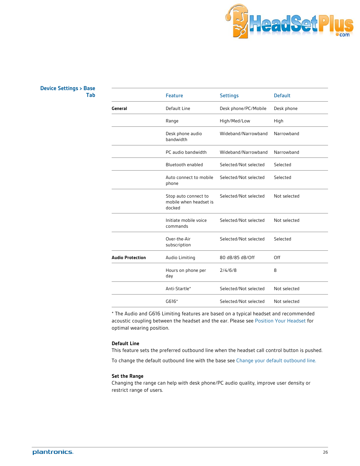

### <span id="page-25-0"></span>**Device Settings > Base**

|                         | <b>Feature</b>                                           | <b>Settings</b>       | <b>Default</b> |
|-------------------------|----------------------------------------------------------|-----------------------|----------------|
| General                 | Default Line                                             | Desk phone/PC/Mobile  | Desk phone     |
|                         | Range                                                    | High/Med/Low          | High           |
|                         | Desk phone audio<br>bandwidth                            | Wideband/Narrowband   | Narrowband     |
|                         | PC audio bandwidth                                       | Wideband/Narrowband   | Narrowband     |
|                         | Bluetooth enabled                                        | Selected/Not selected | Selected       |
|                         | Auto connect to mobile<br>phone                          | Selected/Not selected | Selected       |
|                         | Stop auto connect to<br>mobile when headset is<br>docked | Selected/Not selected | Not selected   |
|                         | Initiate mobile voice<br>commands                        | Selected/Not selected | Not selected   |
|                         | Over-the-Air<br>subscription                             | Selected/Not selected | Selected       |
| <b>Audio Protection</b> | Audio Limiting                                           | 80 dB/85 dB/Off       | Off            |
|                         | Hours on phone per<br>day                                | 2/4/6/8               | 8              |
|                         | Anti-Startle*                                            | Selected/Not selected | Not selected   |
|                         | $G616*$                                                  | Selected/Not selected | Not selected   |
|                         |                                                          |                       |                |

\* The Audio and G616 Limiting features are based on a typical headset and recommended acoustic coupling between the headset and the ear. Please see Position Your Headset for optimal wearing position.

#### **Default Line**

This feature sets the preferred outbound line when the headset call control button is pushed.

To change the default outbound line with the base see [Change your default outbound line.](#page-17-0)

### **Set the Range**

Changing the range can help with desk phone/PC audio quality, improve user density or restrict range of users.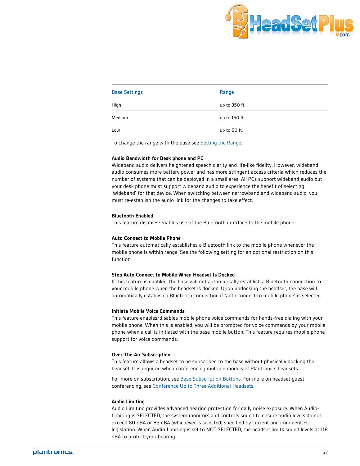

| <b>Base Settings</b> | Range         |
|----------------------|---------------|
| High                 | up to 350 ft. |
| Medium               | up to 150 ft. |
| Low                  | up to 50 ft.  |

To change the range with the base see Setting the Range.

#### **Audio Bandwidth for Desk phone and PC**

Wideband audio delivers heightened speech clarity and life-like fidelity. However, wideband audio consumes more battery power and has more stringent access criteria which reduces the number of systems that can be deployed in a small area. All PCs support wideband audio but your desk phone must support wideband audio to experience the benefit of selecting "wideband" for that device. When switching between narrowband and wideband audio, you must re-establish the audio link for the changes to take effect.

#### **Bluetooth Enabled**

This feature disables/enables use of the Bluetooth interface to the mobile phone.

#### **Auto Connect to Mobile Phone**

This feature automatically establishes a Bluetooth link to the mobile phone whenever the mobile phone is within range. See the following setting for an optional restriction on this function.

#### **Stop Auto Connect to Mobile When Headset Is Docked**

If this feature is enabled, the base will not automatically establish a Bluetooth connection to your mobile phone when the headset is docked. Upon undocking the headset, the base will automatically establish a Bluetooth connection if "auto connect to mobile phone" is selected.

#### **Initiate Mobile Voice Commands**

This feature enables/disables mobile phone voice commands for hands-free dialing with your mobile phone. When this is enabled, you will be prompted for voice commands by your mobile phone when a call is initiated with the base mobile button. This feature requires mobile phone support for voice commands.

#### **Over-The-Air Subscription**

This feature allows a headset to be subscribed to the base without physically docking the headset. It is required when conferencing multiple models of Plantronics headsets.

For more on subscription, see Base Subscription Buttons. For more on headset guest conferencing, see Conference Up to Three Additional Headsets.

#### **Audio Limiting**

Audio Limiting provides advanced hearing protection for daily noise exposure. When Audio-Limiting is SELECTED, the system monitors and controls sound to ensure audio levels do not exceed 80 dBA or 85 dBA (whichever is selected) specified by current and imminent EU legislation. When Audio-Limiting is set to NOT SELECTED, the headset limits sound levels at 118 dBA to protect your hearing.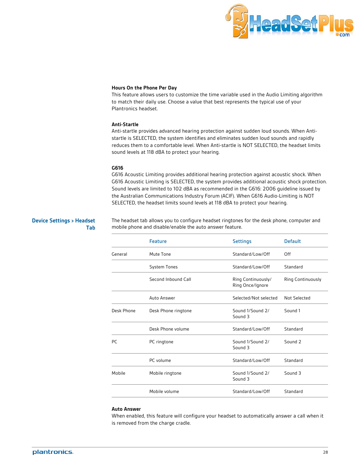

#### <span id="page-27-0"></span>**Hours On the Phone Per Day**

This feature allows users to customize the time variable used in the Audio Limiting algorithm to match their daily use. Choose a value that best represents the typical use of your Plantronics headset.

#### **Anti-Startle**

Anti-startle provides advanced hearing protection against sudden loud sounds. When Antistartle is SELECTED, the system identifies and eliminates sudden loud sounds and rapidly reduces them to a comfortable level. When Anti-startle is NOT SELECTED, the headset limits sound levels at 118 dBA to protect your hearing.

#### **G616**

G616 Acoustic Limiting provides additional hearing protection against acoustic shock. When G616 Acoustic Limiting is SELECTED, the system provides additional acoustic shock protection. Sound levels are limited to 102 dBA as recommended in the G616: 2006 guideline issued by the Australian Communications Industry Forum (ACIF). When G616 Audio-Limiting is NOT SELECTED, the headset limits sound levels at 118 dBA to protect your hearing.

### **Device Settings > Headset Tab**

The headset tab allows you to configure headset ringtones for the desk phone, computer and mobile phone and disable/enable the auto answer feature.

|            | <b>Feature</b>      | <b>Settings</b>                        | <b>Default</b>           |
|------------|---------------------|----------------------------------------|--------------------------|
| General    | Mute Tone           | Standard/Low/Off                       | Off                      |
|            | <b>System Tones</b> | Standard/Low/Off                       | Standard                 |
|            | Second Inbound Call | Ring Continuously/<br>Ring Once/Ignore | <b>Ring Continuously</b> |
|            | Auto Answer         | Selected/Not selected                  | Not Selected             |
| Desk Phone | Desk Phone ringtone | Sound 1/Sound 2/<br>Sound 3            | Sound 1                  |
|            | Desk Phone volume   | Standard/Low/Off                       | Standard                 |
| <b>PC</b>  | PC ringtone         | Sound 1/Sound 2/<br>Sound 3            | Sound 2                  |
|            | PC volume           | Standard/Low/Off                       | Standard                 |
| Mobile     | Mobile ringtone     | Sound 1/Sound 2/<br>Sound 3            | Sound 3                  |
|            | Mobile volume       | Standard/Low/Off                       | Standard                 |

#### **Auto Answer**

When enabled, this feature will configure your headset to automatically answer a call when it is removed from the charge cradle.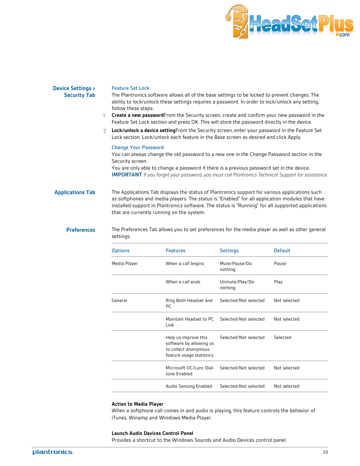

#### <span id="page-28-0"></span>**Device Settings > Security Tab**

#### Feature Set Lock

The Plantronics software allows all of the base settings to be locked to prevent changes. The ability to lock/unlock these settings requires a password. In order to lock/unlock any setting, follow these steps:

- **1 Create a new password**From the Security screen, create and confirm your new password in the Feature Set Lock section and press OK. This will store the password directly in the device.
- **2 Lock/unlock a device setting**From the Security screen, enter your password in the Feature Set Lock section. Lock/unlock each feature in the Base screen as desired and click Apply.

#### Change Your Password

You can always change the old password to a new one in the Change Password section in the Security screen.

You are only able to change a password if there is a previous password set in the device. **IMPORTANT** *If you forget your password, you must call Plantronics Technical Support for assistance.*

**Applications Tab** The Applications Tab displays the status of Plantronics support for various applications such as softphones and media players. The status is "Enabled" for all application modules that have installed support in Plantronics software. The status is "Running" for all supported applications that are currently running on the system.

**Preferences** The Preferences Tab allows you to set preferences for the media player as well as other general settings.

| <b>Options</b> | <b>Features</b>                                                                                     | <b>Settings</b>           | <b>Default</b> |
|----------------|-----------------------------------------------------------------------------------------------------|---------------------------|----------------|
| Media Player   | When a call begins                                                                                  | Mute/Pause/Do<br>nothing  | Pause          |
|                | When a call ends                                                                                    | Unmute/Play/Do<br>nothing | Play           |
| General        | Ring Both Headset and<br><b>PC</b>                                                                  | Selected/Not selected     | Not selected   |
|                | Maintain Headset to PC<br>Link                                                                      | Selected/Not selected     | Not selected   |
|                | Help us improve this<br>software by allowing us<br>to collect anonymous<br>feature usage statistics | Selected/Not selected     | Selected       |
|                | Microsoft OC/Lync Dial-<br>tone Enabled                                                             | Selected/Not selected     | Not selected   |
|                | Audio Sensing Enabled                                                                               | Selected/Not selected     | Not selected   |

#### **Action to Media Player**

When a softphone call comes in and audio is playing, this feature controls the behavior of iTunes, Winamp and Windows Media Player.

#### **Launch Audio Devices Control Panel**

Provides a shortcut to the Windows Sounds and Audio Devices control panel.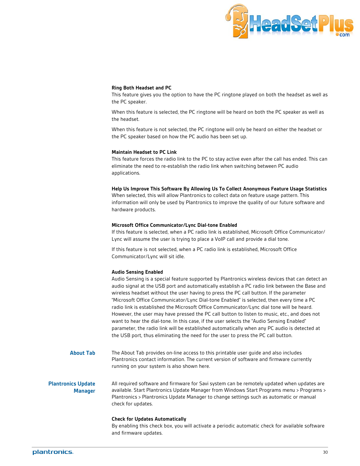

#### <span id="page-29-0"></span>**Ring Both Headset and PC**

This feature gives you the option to have the PC ringtone played on both the headset as well as the PC speaker.

When this feature is selected, the PC ringtone will be heard on both the PC speaker as well as the headset.

When this feature is not selected, the PC ringtone will only be heard on either the headset or the PC speaker based on how the PC audio has been set up.

#### **Maintain Headset to PC Link**

This feature forces the radio link to the PC to stay active even after the call has ended. This can eliminate the need to re-establish the radio link when switching between PC audio applications.

#### **Help Us Improve This Software By Allowing Us To Collect Anonymous Feature Usage Statistics**

When selected, this will allow Plantronics to collect data on feature usage pattern. This information will only be used by Plantronics to improve the quality of our future software and hardware products.

#### **Microsoft Office Communicator/Lync Dial-tone Enabled**

If this feature is selected, when a PC radio link is established, Microsoft Office Communicator/ Lync will assume the user is trying to place a VoIP call and provide a dial tone.

If this feature is not selected, when a PC radio link is established, Microsoft Office Communicator/Lync will sit idle.

#### **Audio Sensing Enabled**

Audio Sensing is a special feature supported by Plantronics wireless devices that can detect an audio signal at the USB port and automatically establish a PC radio link between the Base and wireless headset without the user having to press the PC call button. If the parameter "Microsoft Office Communicator/Lync Dial-tone Enabled" is selected, then every time a PC radio link is established the Microsoft Office Communicator/Lync dial tone will be heard. However, the user may have pressed the PC call button to listen to music, etc., and does not want to hear the dial-tone. In this case, if the user selects the "Audio Sensing Enabled" parameter, the radio link will be established automatically when any PC audio is detected at the USB port, thus eliminating the need for the user to press the PC call button.

**About Tab** The About Tab provides on-line access to this printable user guide and also includes Plantronics contact information. The current version of software and firmware currently running on your system is also shown here.

**Plantronics Update Manager** All required software and firmware for Savi system can be remotely updated when updates are available. Start Plantronics Update Manager from Windows Start Programs menu > Programs > Plantronics > Plantronics Update Manager to change settings such as automatic or manual check for updates.

#### **Check for Updates Automatically**

By enabling this check box, you will activate a periodic automatic check for available software and firmware updates.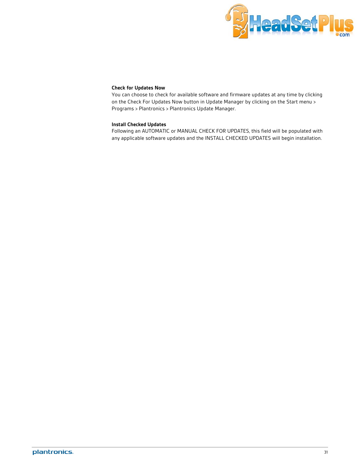

#### **Check for Updates Now**

You can choose to check for available software and firmware updates at any time by clicking on the Check For Updates Now button in Update Manager by clicking on the Start menu > Programs > Plantronics > Plantronics Update Manager.

### **Install Checked Updates**

Following an AUTOMATIC or MANUAL CHECK FOR UPDATES, this field will be populated with any applicable software updates and the INSTALL CHECKED UPDATES will begin installation.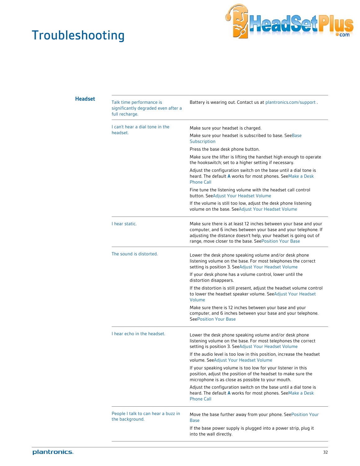## <span id="page-31-0"></span>Troubleshooting



### **Headset**

| Talk time performance is<br>significantly degraded even after a<br>full recharge. | Battery is wearing out. Contact us at plantronics.com/support.                                                                                                                                                                                                    |
|-----------------------------------------------------------------------------------|-------------------------------------------------------------------------------------------------------------------------------------------------------------------------------------------------------------------------------------------------------------------|
| I can't hear a dial tone in the                                                   | Make sure your headset is charged.                                                                                                                                                                                                                                |
| headset.                                                                          | Make sure your headset is subscribed to base. See Base<br>Subscription                                                                                                                                                                                            |
|                                                                                   | Press the base desk phone button.                                                                                                                                                                                                                                 |
|                                                                                   | Make sure the lifter is lifting the handset high enough to operate<br>the hookswitch; set to a higher setting if necessary.                                                                                                                                       |
|                                                                                   | Adjust the configuration switch on the base until a dial tone is<br>heard. The default A works for most phones. SeeMake a Desk<br><b>Phone Call</b>                                                                                                               |
|                                                                                   | Fine tune the listening volume with the headset call control<br>button. SeeAdjust Your Headset Volume                                                                                                                                                             |
|                                                                                   | If the volume is still too low, adjust the desk phone listening<br>volume on the base. SeeAdjust Your Headset Volume                                                                                                                                              |
| I hear static.                                                                    | Make sure there is at least 12 inches between your base and your<br>computer, and 6 inches between your base and your telephone. If<br>adjusting the distance doesn't help, your headset is going out of<br>range, move closer to the base. SeePosition Your Base |
| The sound is distorted.                                                           | Lower the desk phone speaking volume and/or desk phone<br>listening volume on the base. For most telephones the correct<br>setting is position 3. SeeAdjust Your Headset Volume                                                                                   |
|                                                                                   | If your desk phone has a volume control, lower until the<br>distortion disappears.                                                                                                                                                                                |
|                                                                                   | If the distortion is still present, adjust the headset volume control<br>to lower the headset speaker volume. SeeAdjust Your Headset<br>Volume                                                                                                                    |
|                                                                                   | Make sure there is 12 inches between your base and your<br>computer, and 6 inches between your base and your telephone.<br><b>SeePosition Your Base</b>                                                                                                           |
| I hear echo in the headset.                                                       | Lower the desk phone speaking volume and/or desk phone<br>listening volume on the base. For most telephones the correct<br>setting is position 3. SeeAdjust Your Headset Volume                                                                                   |
|                                                                                   | If the audio level is too low in this position, increase the headset<br>volume. SeeAdjust Your Headset Volume                                                                                                                                                     |
|                                                                                   | If your speaking volume is too low for your listener in this<br>position, adjust the position of the headset to make sure the<br>microphone is as close as possible to your mouth.                                                                                |
|                                                                                   | Adjust the configuration switch on the base until a dial tone is<br>heard. The default A works for most phones. SeeMake a Desk<br><b>Phone Call</b>                                                                                                               |
| People I talk to can hear a buzz in<br>the background.                            | Move the base further away from your phone. SeePosition Your<br><b>Base</b>                                                                                                                                                                                       |
|                                                                                   | If the base power supply is plugged into a power strip, plug it<br>into the wall directly.                                                                                                                                                                        |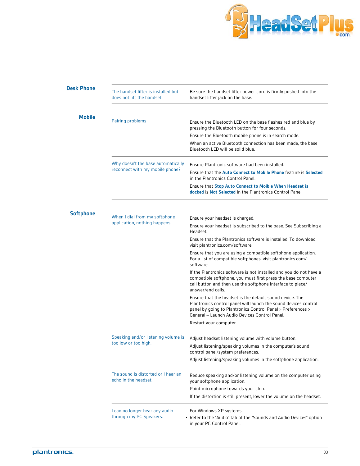

<span id="page-32-0"></span>

| <b>Desk Phone</b> | The handset lifter is installed but<br>does not lift the handset.     | Be sure the handset lifter power cord is firmly pushed into the<br>handset lifter jack on the base.                                                                                                                                         |
|-------------------|-----------------------------------------------------------------------|---------------------------------------------------------------------------------------------------------------------------------------------------------------------------------------------------------------------------------------------|
| <b>Mobile</b>     | Pairing problems                                                      | Ensure the Bluetooth LED on the base flashes red and blue by<br>pressing the Bluetooth button for four seconds.                                                                                                                             |
|                   |                                                                       | Ensure the Bluetooth mobile phone is in search mode.                                                                                                                                                                                        |
|                   |                                                                       | When an active Bluetooth connection has been made, the base<br>Bluetooth LED will be solid blue.                                                                                                                                            |
|                   | Why doesn't the base automatically<br>reconnect with my mobile phone? | Ensure Plantronic software had been installed.                                                                                                                                                                                              |
|                   |                                                                       | Ensure that the Auto Connect to Mobile Phone feature is Selected<br>in the Plantronics Control Panel.                                                                                                                                       |
|                   |                                                                       | Ensure that Stop Auto Connect to Moible When Headset is<br>docked is Not Selected in the Plantronics Control Panel.                                                                                                                         |
| <b>Softphone</b>  |                                                                       |                                                                                                                                                                                                                                             |
|                   | When I dial from my softphone<br>application, nothing happens.        | Ensure your headset is charged.                                                                                                                                                                                                             |
|                   |                                                                       | Ensure your headset is subscribed to the base. See Subscribing a<br>Headset.                                                                                                                                                                |
|                   |                                                                       | Ensure that the Plantronics software is installed. To download,<br>visit plantronics.com/software.                                                                                                                                          |
|                   |                                                                       | Ensure that you are using a compatible softphone application.<br>For a list of compatible softphones, visit plantronics.com/<br>software.                                                                                                   |
|                   |                                                                       | If the Plantronics software is not installed and you do not have a<br>compatible softphone, you must first press the base computer<br>call button and then use the softphone interface to place/<br>answer/end calls.                       |
|                   |                                                                       | Ensure that the headset is the default sound device. The<br>Plantronics control panel will launch the sound devices control<br>panel by going to Plantronics Control Panel > Preferences ><br>General - Launch Audio Devices Control Panel. |
|                   |                                                                       | Restart your computer.                                                                                                                                                                                                                      |
|                   | Speaking and/or listening volume is                                   | Adjust headset listening volume with volume button.                                                                                                                                                                                         |
|                   | too low or too high.                                                  | Adjust listening/speaking volumes in the computer's sound<br>control panel/system preferences.                                                                                                                                              |
|                   |                                                                       | Adjust listening/speaking volumes in the softphone application.                                                                                                                                                                             |
|                   | The sound is distorted or I hear an<br>echo in the headset.           | Reduce speaking and/or listening volume on the computer using<br>your softphone application.                                                                                                                                                |
|                   |                                                                       | Point microphone towards your chin.                                                                                                                                                                                                         |
|                   |                                                                       | If the distortion is still present, lower the volume on the headset.                                                                                                                                                                        |
|                   | I can no longer hear any audio                                        | For Windows XP systems                                                                                                                                                                                                                      |
|                   | through my PC Speakers.                                               | • Refer to the "Audio" tab of the "Sounds and Audio Devices" option<br>in your PC Control Panel.                                                                                                                                            |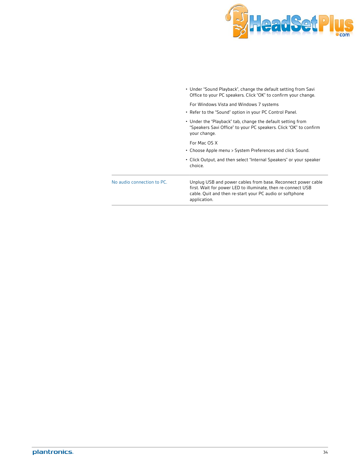

| No audio connection to PC. | Unplug USB and power cables from base. Reconnect power cable<br>first. Wait for power LED to illuminate, then re-connect USB<br>cable. Quit and then re-start your PC audio or softphone<br>application. |
|----------------------------|----------------------------------------------------------------------------------------------------------------------------------------------------------------------------------------------------------|
|                            | • Click Output, and then select "Internal Speakers" or your speaker<br>choice.                                                                                                                           |
|                            | For Mac OS X<br>• Choose Apple menu > System Preferences and click Sound.                                                                                                                                |
|                            | • Under the "Playback" tab, change the default setting from<br>"Speakers Savi Office" to your PC speakers. Click "OK" to confirm<br>your change.                                                         |
|                            | • Refer to the "Sound" option in your PC Control Panel.                                                                                                                                                  |
|                            | For Windows Vista and Windows 7 systems                                                                                                                                                                  |
|                            | • Under "Sound Playback", change the default setting from Savi<br>Office to your PC speakers. Click "OK" to confirm your change.                                                                         |